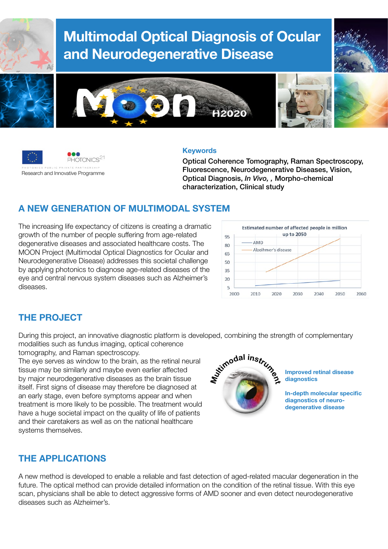

# Multimodal Optical Diagnosis of Ocular and Neurodegenerative Disease







#### **Keywords**

Optical Coherence Tomography, Raman Spectroscopy, Fluorescence, Neurodegenerative Diseases, Vision, Optical Diagnosis, *In Vivo, ,* Morpho-chemical characterization, Clinical study

# A NEW GENERATION OF MULTIMODAL SYSTEM

The increasing life expectancy of citizens is creating a dramatic growth of the number of people suffering from age-related degenerative diseases and associated healthcare costs. The MOON Project (Multimodal Optical Diagnostics for Ocular and Neurodegenerative Disease) addresses this societal challenge by applying photonics to diagnose age-related diseases of the eye and central nervous system diseases such as Alzheimer's diseases.



# THE PROJECT

During this project, an innovative diagnostic platform is developed, combining the strength of complementary modalities such as fundus imaging, optical coherence tomography, and Raman spectroscopy.

The eye serves as window to the brain, as the retinal neural tissue may be similarly and maybe even earlier affected by major neurodegenerative diseases as the brain tissue itself. First signs of disease may therefore be diagnosed at an early stage, even before symptoms appear and when treatment is more likely to be possible. The treatment would have a huge societal impact on the quality of life of patients and their caretakers as well as on the national healthcare systems themselves.



Improved retinal disease diagnostics

In-depth molecular specific diagnostics of neurodegenerative disease

# THE APPLICATIONS

A new method is developed to enable a reliable and fast detection of aged-related macular degeneration in the future. The optical method can provide detailed information on the condition of the retinal tissue. With this eve scan, physicians shall be able to detect aggressive forms of AMD sooner and even detect neurodegenerative diseases such as Alzheimer's.